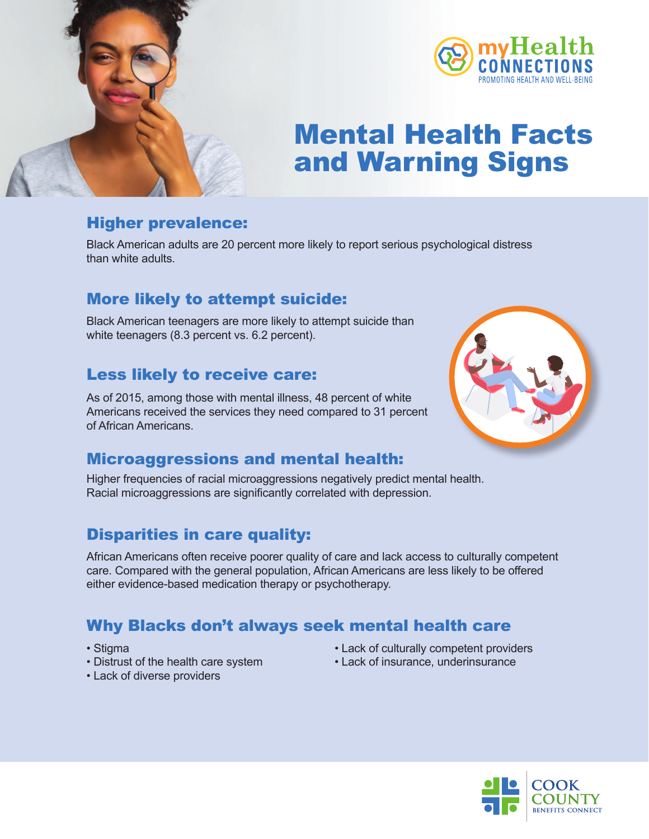



# Mental Health Facts and Warning Signs

# Higher prevalence:

Black American adults are 20 percent more likely to report serious psychological distress than white adults.

# More likely to attempt suicide:

Black American teenagers are more likely to attempt suicide than white teenagers (8.3 percent vs. 6.2 percent).

# Less likely to receive care:

As of 2015, among those with mental illness, 48 percent of white Americans received the services they need compared to 31 percent of African Americans.



#### Microaggressions and mental health:

Higher frequencies of racial microaggressions negatively predict mental health. Racial microaggressions are significantly correlated with depression.

# Disparities in care quality:

African Americans often receive poorer quality of care and lack access to culturally competent care. Compared with the general population, African Americans are less likely to be offered either evidence-based medication therapy or psychotherapy.

# Why Blacks don't always seek mental health care

- Stigma
- Distrust of the health care system
- Lack of diverse providers
- Lack of culturally competent providers
- Lack of insurance, underinsurance